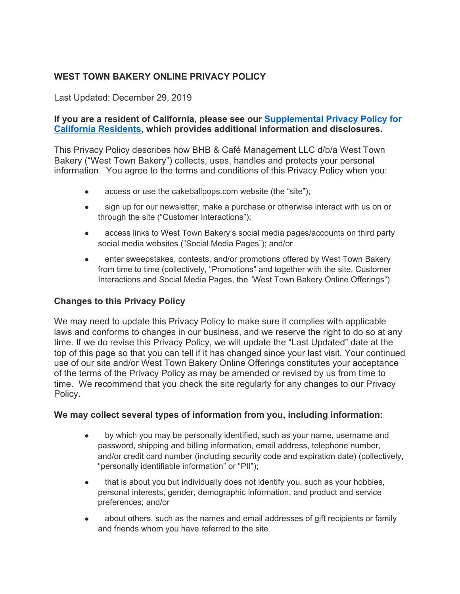## **WEST TOWN BAKERY ONLINE PRIVACY POLICY**

Last Updated: December 29, 2019

#### **If you are a resident of California, please see our [Supplemental Privacy Policy for](https://milkbarstore.com/pages/ccpa-privacy-policy) [California Residents](https://milkbarstore.com/pages/ccpa-privacy-policy), which provides additional information and disclosures.**

This Privacy Policy describes how BHB & Café Management LLC d/b/a West Town Bakery ("West Town Bakery") collects, uses, handles and protects your personal information. You agree to the terms and conditions of this Privacy Policy when you:

- access or use the cakeballpops.com website (the "site");
- sign up for our newsletter, make a purchase or otherwise interact with us on or through the site ("Customer Interactions");
- access links to West Town Bakery's social media pages/accounts on third party social media websites ("Social Media Pages"); and/or
- enter sweepstakes, contests, and/or promotions offered by West Town Bakery from time to time (collectively, "Promotions" and together with the site, Customer Interactions and Social Media Pages, the "West Town Bakery Online Offerings").

## **Changes to this Privacy Policy**

We may need to update this Privacy Policy to make sure it complies with applicable laws and conforms to changes in our business, and we reserve the right to do so at any time. If we do revise this Privacy Policy, we will update the "Last Updated" date at the top of this page so that you can tell if it has changed since your last visit. Your continued use of our site and/or West Town Bakery Online Offerings constitutes your acceptance of the terms of the Privacy Policy as may be amended or revised by us from time to time. We recommend that you check the site regularly for any changes to our Privacy Policy.

## **We may collect several types of information from you, including information:**

- by which you may be personally identified, such as your name, username and password, shipping and billing information, email address, telephone number, and/or credit card number (including security code and expiration date) (collectively, "personally identifiable information" or "PII");
- that is about you but individually does not identify you, such as your hobbies, personal interests, gender, demographic information, and product and service preferences; and/or
- about others, such as the names and email addresses of gift recipients or family and friends whom you have referred to the site.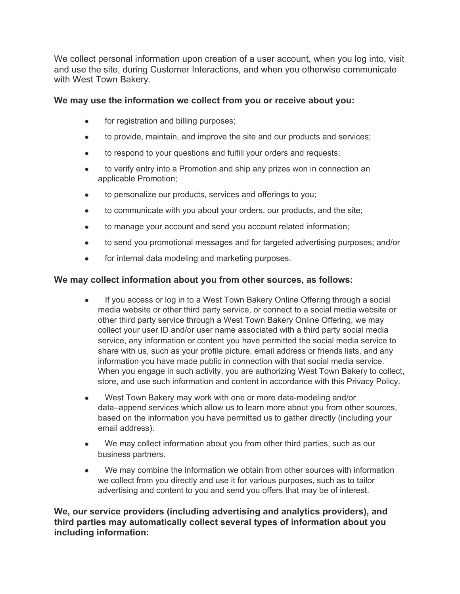We collect personal information upon creation of a user account, when you log into, visit and use the site, during Customer Interactions, and when you otherwise communicate with West Town Bakery.

## **We may use the information we collect from you or receive about you:**

- for registration and billing purposes;
- to provide, maintain, and improve the site and our products and services;
- to respond to your questions and fulfill your orders and requests;
- to verify entry into a Promotion and ship any prizes won in connection an applicable Promotion;
- to personalize our products, services and offerings to you;
- to communicate with you about your orders, our products, and the site;
- to manage your account and send you account related information;
- to send you promotional messages and for targeted advertising purposes; and/or
- for internal data modeling and marketing purposes.

# **We may collect information about you from other sources, as follows:**

- If you access or log in to a West Town Bakery Online Offering through a social media website or other third party service, or connect to a social media website or other third party service through a West Town Bakery Online Offering, we may collect your user ID and/or user name associated with a third party social media service, any information or content you have permitted the social media service to share with us, such as your profile picture, email address or friends lists, and any information you have made public in connection with that social media service. When you engage in such activity, you are authorizing West Town Bakery to collect, store, and use such information and content in accordance with this Privacy Policy.
- West Town Bakery may work with one or more data-modeling and/or data–append services which allow us to learn more about you from other sources, based on the information you have permitted us to gather directly (including your email address).
- We may collect information about you from other third parties, such as our business partners.
- We may combine the information we obtain from other sources with information we collect from you directly and use it for various purposes, such as to tailor advertising and content to you and send you offers that may be of interest.

**We, our service providers (including advertising and analytics providers), and third parties may automatically collect several types of information about you including information:**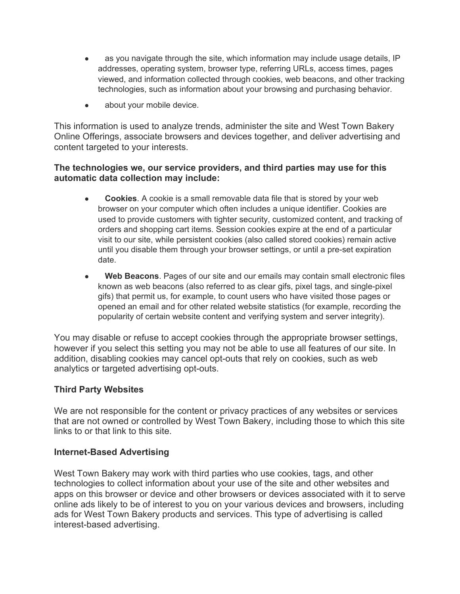- as you navigate through the site, which information may include usage details, IP addresses, operating system, browser type, referring URLs, access times, pages viewed, and information collected through cookies, web beacons, and other tracking technologies, such as information about your browsing and purchasing behavior.
- about your mobile device.

This information is used to analyze trends, administer the site and West Town Bakery Online Offerings, associate browsers and devices together, and deliver advertising and content targeted to your interests.

#### **The technologies we, our service providers, and third parties may use for this automatic data collection may include:**

- **Cookies**. A cookie is a small removable data file that is stored by your web browser on your computer which often includes a unique identifier. Cookies are used to provide customers with tighter security, customized content, and tracking of orders and shopping cart items. Session cookies expire at the end of a particular visit to our site, while persistent cookies (also called stored cookies) remain active until you disable them through your browser settings, or until a pre-set expiration date.
- Web Beacons. Pages of our site and our emails may contain small electronic files known as web beacons (also referred to as clear gifs, pixel tags, and single-pixel gifs) that permit us, for example, to count users who have visited those pages or opened an email and for other related website statistics (for example, recording the popularity of certain website content and verifying system and server integrity).

You may disable or refuse to accept cookies through the appropriate browser settings, however if you select this setting you may not be able to use all features of our site. In addition, disabling cookies may cancel opt-outs that rely on cookies, such as web analytics or targeted advertising opt-outs.

#### **Third Party Websites**

We are not responsible for the content or privacy practices of any websites or services that are not owned or controlled by West Town Bakery, including those to which this site links to or that link to this site.

#### **Internet-Based Advertising**

West Town Bakery may work with third parties who use cookies, tags, and other technologies to collect information about your use of the site and other websites and apps on this browser or device and other browsers or devices associated with it to serve online ads likely to be of interest to you on your various devices and browsers, including ads for West Town Bakery products and services. This type of advertising is called interest-based advertising.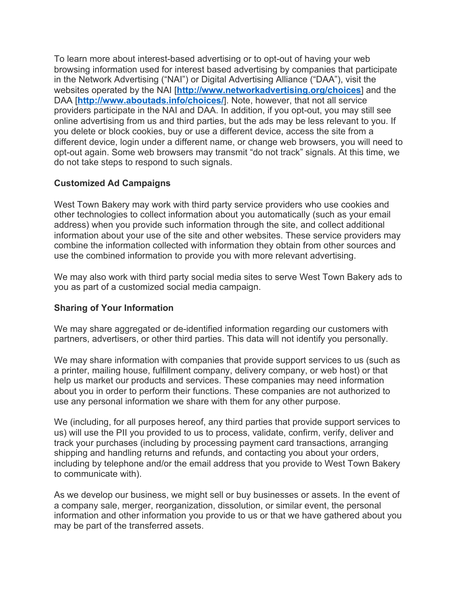To learn more about interest-based advertising or to opt-out of having your web browsing information used for interest based advertising by companies that participate in the Network Advertising ("NAI") or Digital Advertising Alliance ("DAA"), visit the websites operated by the NAI [**<http://www.networkadvertising.org/choices>**] and the DAA [**<http://www.aboutads.info/choices/>**]. Note, however, that not all service providers participate in the NAI and DAA. In addition, if you opt-out, you may still see online advertising from us and third parties, but the ads may be less relevant to you. If you delete or block cookies, buy or use a different device, access the site from a different device, login under a different name, or change web browsers, you will need to opt-out again. Some web browsers may transmit "do not track" signals. At this time, we do not take steps to respond to such signals.

## **Customized Ad Campaigns**

West Town Bakery may work with third party service providers who use cookies and other technologies to collect information about you automatically (such as your email address) when you provide such information through the site, and collect additional information about your use of the site and other websites. These service providers may combine the information collected with information they obtain from other sources and use the combined information to provide you with more relevant advertising.

We may also work with third party social media sites to serve West Town Bakery ads to you as part of a customized social media campaign.

## **Sharing of Your Information**

We may share aggregated or de-identified information regarding our customers with partners, advertisers, or other third parties. This data will not identify you personally.

We may share information with companies that provide support services to us (such as a printer, mailing house, fulfillment company, delivery company, or web host) or that help us market our products and services. These companies may need information about you in order to perform their functions. These companies are not authorized to use any personal information we share with them for any other purpose.

We (including, for all purposes hereof, any third parties that provide support services to us) will use the PII you provided to us to process, validate, confirm, verify, deliver and track your purchases (including by processing payment card transactions, arranging shipping and handling returns and refunds, and contacting you about your orders, including by telephone and/or the email address that you provide to West Town Bakery to communicate with).

As we develop our business, we might sell or buy businesses or assets. In the event of a company sale, merger, reorganization, dissolution, or similar event, the personal information and other information you provide to us or that we have gathered about you may be part of the transferred assets.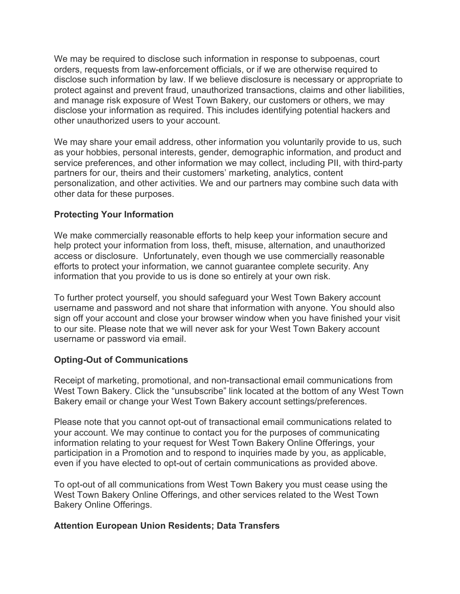We may be required to disclose such information in response to subpoenas, court orders, requests from law-enforcement officials, or if we are otherwise required to disclose such information by law. If we believe disclosure is necessary or appropriate to protect against and prevent fraud, unauthorized transactions, claims and other liabilities, and manage risk exposure of West Town Bakery, our customers or others, we may disclose your information as required. This includes identifying potential hackers and other unauthorized users to your account.

We may share your email address, other information you voluntarily provide to us, such as your hobbies, personal interests, gender, demographic information, and product and service preferences, and other information we may collect, including PII, with third-party partners for our, theirs and their customers' marketing, analytics, content personalization, and other activities. We and our partners may combine such data with other data for these purposes.

#### **Protecting Your Information**

We make commercially reasonable efforts to help keep your information secure and help protect your information from loss, theft, misuse, alternation, and unauthorized access or disclosure. Unfortunately, even though we use commercially reasonable efforts to protect your information, we cannot guarantee complete security. Any information that you provide to us is done so entirely at your own risk.

To further protect yourself, you should safeguard your West Town Bakery account username and password and not share that information with anyone. You should also sign off your account and close your browser window when you have finished your visit to our site. Please note that we will never ask for your West Town Bakery account username or password via email.

#### **Opting-Out of Communications**

Receipt of marketing, promotional, and non-transactional email communications from West Town Bakery. Click the "unsubscribe" link located at the bottom of any West Town Bakery email or change your West Town Bakery account settings/preferences.

Please note that you cannot opt-out of transactional email communications related to your account. We may continue to contact you for the purposes of communicating information relating to your request for West Town Bakery Online Offerings, your participation in a Promotion and to respond to inquiries made by you, as applicable, even if you have elected to opt-out of certain communications as provided above.

To opt-out of all communications from West Town Bakery you must cease using the West Town Bakery Online Offerings, and other services related to the West Town Bakery Online Offerings.

## **Attention European Union Residents; Data Transfers**